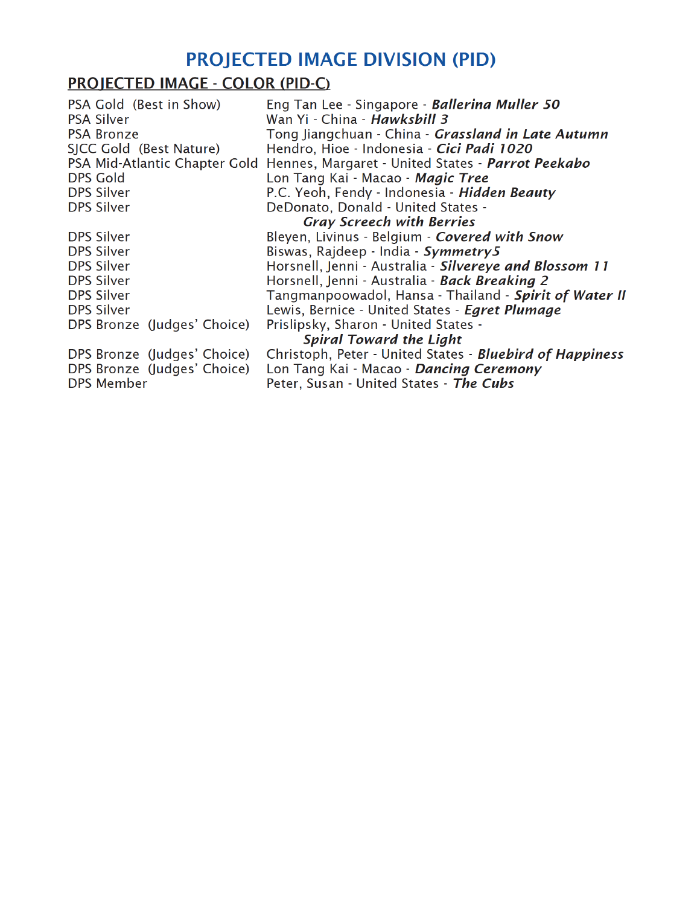# **PROJECTED IMAGE DIVISION (PID)**

# **PROJECTED IMAGE - COLOR (PID-C)**

PSA Gold (Best in Show) Eng Tan Lee - Singapore - Ballerina Muller 50 **PSA Silver** Wan Yi - China - Hawkshill 3 Tong Jiangchuan - China - Grassland in Late Autumn PSA Bronze SICC Gold (Best Nature) Hendro, Hioe - Indonesia - Cici Padi 1020 PSA Mid-Atlantic Chapter Gold Hennes, Margaret - United States - Parrot Peekabo **DPS Gold** Lon Tang Kai - Macao - Magic Tree **DPS Silver** P.C. Yeoh, Fendy - Indonesia - Hidden Beauty DeDonato, Donald - United States -**DPS Silver Gray Screech with Berries DPS Silver** Bleyen, Livinus - Belgium - Covered with Snow **DPS Silver** Biswas, Rajdeep - India - Symmetry5 Horsnell, Jenni - Australia - Silvereye and Blossom 11 **DPS Silver DPS Silver** Horsnell, Jenni - Australia - Back Breaking 2 Tangmanpoowadol, Hansa - Thailand - Spirit of Water II **DPS Silver** Lewis, Bernice - United States - Egret Plumage **DPS Silver** DPS Bronze (Judges' Choice) Prislipsky, Sharon - United States -**Spiral Toward the Light** DPS Bronze (Judges' Choice) Christoph, Peter - United States - **Bluebird of Happiness** DPS Bronze (Judges' Choice) Lon Tang Kai - Macao - Dancing Ceremony **DPS Member** Peter, Susan - United States - The Cubs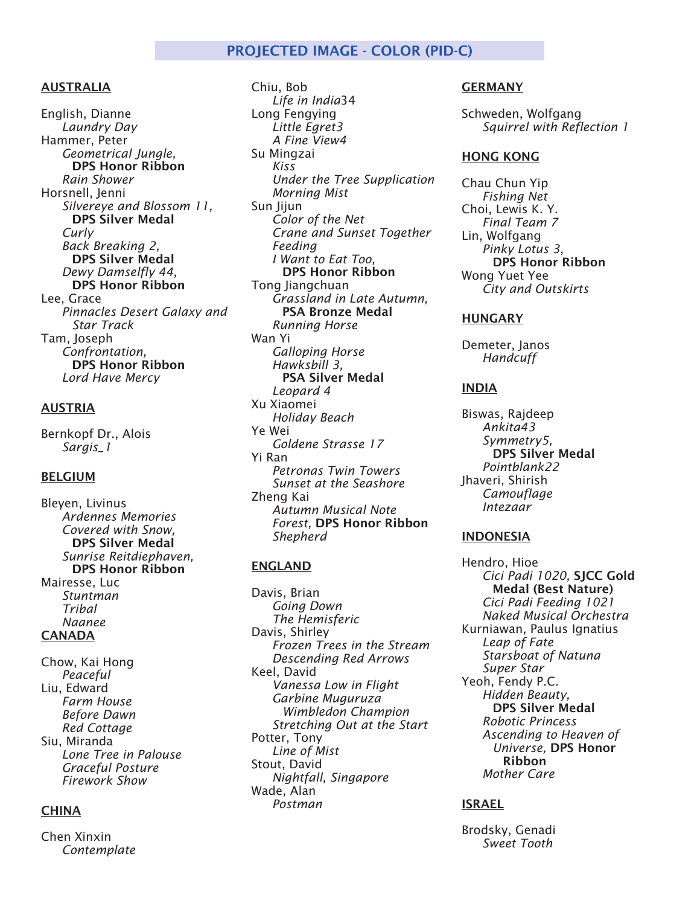# PROJECTED IMAGE - COLOR (PID-C)

# AUSTRALIA

English, Dianne *Laundry Day* Hammer, Peter *Geometrical Jungle,* DPS Honor Ribbon *Rain Shower* Horsnell, Jenni *Silvereye and Blossom 11,* **DPS Silver Medal** *Curly Back Breaking 2,*  **DPS Silver Medal** *Dewy Damselfly 44,*  **DPS Honor Ribbon** Lee, Grace *Pinnacles Desert Galaxy and Star Track* Tam, Joseph *Confrontation,*  **DPS Honor Ribbon** *Lord Have Mercy*

# AUSTRIA

Bernkopf Dr., Alois *Sargis\_1*

# BELGIUM

Bleyen, Livinus *Ardennes Memories Covered with Snow,*  **DPS Silver Medal** *Sunrise Reitdiephaven,* DPS Honor Ribbon Mairesse, Luc *Stuntman Tribal Naanee* CANADA

Chow, Kai Hong *Peaceful* Liu, Edward *Farm House Before Dawn Red Cottage* Siu, Miranda *Lone Tree in Palouse Graceful Posture Firework Show*

# **CHINA**

Chen Xinxin *Contemplate*

Chiu, Bob *Life in India*34 Long Fengying *Little Egret3 A Fine View4* Su Mingzai *Kiss Under the Tree Supplication Morning Mist* Sun Jijun *Color of the Net Crane and Sunset Together Feeding I Want to Eat Too,* DPS Honor Ribbon Tong Jiangchuan *Grassland in Late Autumn,* **PSA Bronze Medal** *Running Horse* Wan Yi *Galloping Horse Hawksbill 3,*  **PSA Silver Medal** *Leopard 4* Xu Xiaomei *Holiday Beach* Ye Wei *Goldene Strasse 17* Yi Ran *Petronas Twin Towers Sunset at the Seashore* Zheng Kai *Autumn Musical Note Forest,* DPS Honor Ribbon *Shepherd*

#### ENGLAND

Davis, Brian *Going Down The Hemisferic* Davis, Shirley *Frozen Trees in the Stream Descending Red Arrows* Keel, David *Vanessa Low in Flight Garbine Muguruza Wimbledon Champion Stretching Out at the Start* Potter, Tony *Line of Mist* Stout, David *Nightfall, Singapore* Wade, Alan *Postman*

#### GERMANY

Schweden, Wolfgang *Squirrel with Reflection 1*

### HONG KONG

Chau Chun Yip *Fishing Net* Choi, Lewis K. Y. *Final Team 7* Lin, Wolfgang *Pinky Lotus 3*, DPS Honor Ribbon Wong Yuet Yee *City and Outskirts*

#### HUNGARY

Demeter, Janos *Handcuff*

#### INDIA

Biswas, Rajdeep *Ankita43 Symmetry5,*  **DPS Silver Medal** *Pointblank22* Jhaveri, Shirish *Camouflage Intezaar*

#### INDONESIA

Hendro, Hioe *Cici Padi 1020,* SJCC Gold Medal (Best Nature) *Cici Padi Feeding 1021 Naked Musical Orchestra* Kurniawan, Paulus Ignatius *Leap of Fate Starsboat of Natuna Super Star* Yeoh, Fendy P.C. *Hidden Beauty,*  **DPS Silver Medal** *Robotic Princess Ascending to Heaven of Universe,* DPS Honor Ribbon *Mother Care*

# ISRAEL

Brodsky, Genadi *Sweet Tooth*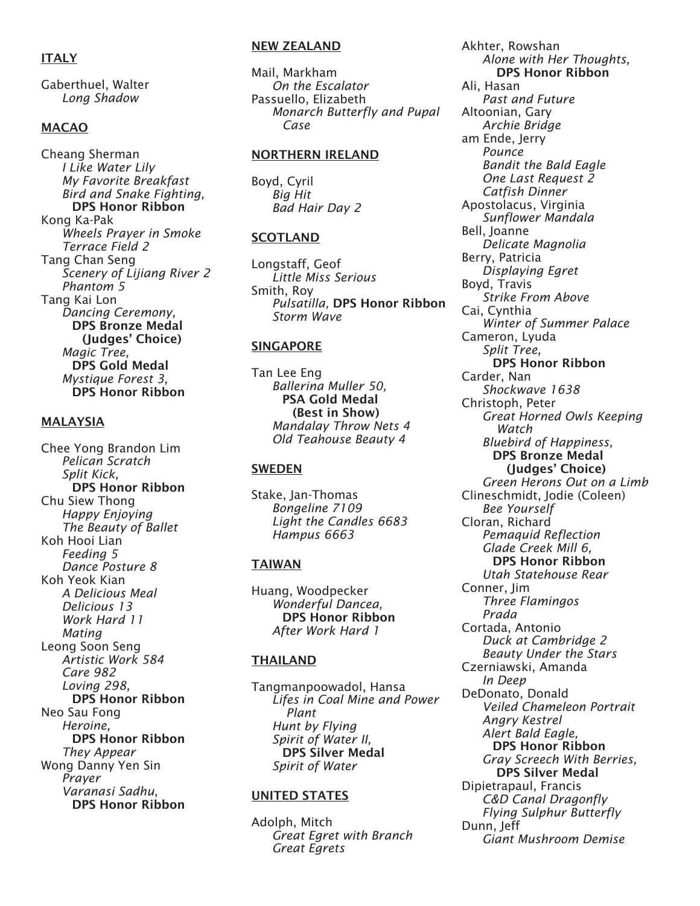# **ITALY**

Gaberthuel, Walter *Long Shadow*

# MACAO

Cheang Sherman *I Like Water Lily My Favorite Breakfast Bird and Snake Fighting,* DPS Honor Ribbon Kong Ka-Pak *Wheels Prayer in Smoke Terrace Field 2* Tang Chan Seng *Scenery of Lijiang River 2 Phantom 5* Tang Kai Lon *Dancing Ceremony,*  **DPS Bronze Medal**  (Judges' Choice) *Magic Tree,*  **DPS Gold Medal** *Mystique Forest 3,*  **DPS Honor Ribbon** 

#### **MALAYSIA**

Chee Yong Brandon Lim *Pelican Scratch Split Kick,*  **DPS Honor Ribbon** Chu Siew Thong *Happy Enjoying The Beauty of Ballet* Koh Hooi Lian *Feeding 5 Dance Posture 8* Koh Yeok Kian *A Delicious Meal Delicious 13 Work Hard 11 Mating* Leong Soon Seng *Artistic Work 584 Care 982 Loving 298,*  **DPS Honor Ribbon** Neo Sau Fong *Heroine,*  **DPS Honor Ribbon** *They Appear* Wong Danny Yen Sin *Prayer Varanasi Sadhu*, DPS Honor Ribbon

#### NEW ZEALAND

Mail, Markham *On the Escalator* Passuello, Elizabeth *Monarch Butterfly and Pupal Case*

#### NORTHERN IRELAND

Boyd, Cyril *Big Hit Bad Hair Day 2*

#### SCOTLAND

Longstaff, Geof *Little Miss Serious* Smith, Roy *Pulsatilla,* DPS Honor Ribbon *Storm Wave*

#### SINGAPORE

Tan Lee Eng *Ballerina Muller 50,*  **PSA Gold Medal**  (Best in Show) *Mandalay Throw Nets 4 Old Teahouse Beauty 4*

#### SWEDEN

Stake, Jan-Thomas *Bongeline 7109 Light the Candles 6683 Hampus 6663*

# TAIWAN

Huang, Woodpecker *Wonderful Dancea,*  **DPS Honor Ribbon** *After Work Hard 1*

# **THAILAND**

Tangmanpoowadol, Hansa *Lifes in Coal Mine and Power Plant Hunt by Flying Spirit of Water II,*  **DPS Silver Medal** *Spirit of Water*

# UNITED STATES

Adolph, Mitch *Great Egret with Branch Great Egrets*

Akhter, Rowshan *Alone with Her Thoughts,* **DPS Honor Ribbon** Ali, Hasan *Past and Future* Altoonian, Gary *Archie Bridge* am Ende, Jerry *Pounce Bandit the Bald Eagle One Last Request 2 Catfish Dinner* Apostolacus, Virginia *Sunflower Mandala* Bell, Joanne *Delicate Magnolia* Berry, Patricia *Displaying Egret* Boyd, Travis *Strike From Above* Cai, Cynthia *Winter of Summer Palace* Cameron, Lyuda *Split Tree,* DPS Honor Ribbon Carder, Nan *Shockwave 1638* Christoph, Peter *Great Horned Owls Keeping Watch Bluebird of Happiness,*  **DPS Bronze Medal**  (Judges' Choice) *Green Herons Out on a Limb* Clineschmidt, Jodie (Coleen) *Bee Yourself* Cloran, Richard *Pemaquid Reflection Glade Creek Mill 6,* **DPS Honor Ribbon** *Utah Statehouse Rear* Conner, Jim *Three Flamingos Prada* Cortada, Antonio *Duck at Cambridge 2 Beauty Under the Stars* Czerniawski, Amanda *In Deep* DeDonato, Donald *Veiled Chameleon Portrait Angry Kestrel Alert Bald Eagle,*  **DPS Honor Ribbon** *Gray Screech With Berries,* **DPS Silver Medal** Dipietrapaul, Francis *C&D Canal Dragonfly Flying Sulphur Butterfly* Dunn, Jeff *Giant Mushroom Demise*